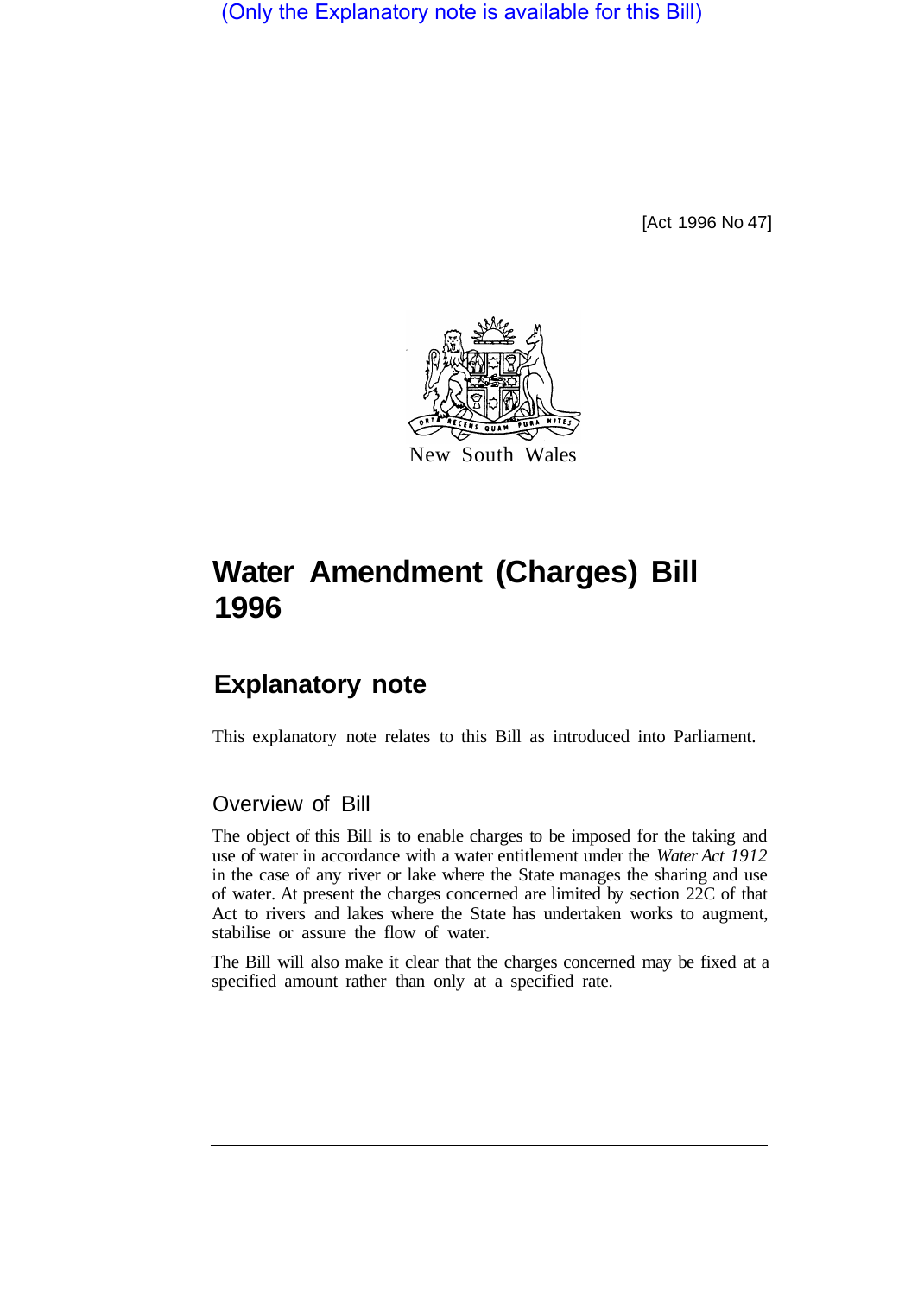(Only the Explanatory note is available for this Bill)

[Act 1996 No 47]



## **Water Amendment (Charges) Bill 1996**

## **Explanatory note**

This explanatory note relates to this Bill as introduced into Parliament.

## Overview of Bill

The object of this Bill is to enable charges to be imposed for the taking and use of water in accordance with a water entitlement under the *Water Act 1912*  in the case of any river or lake where the State manages the sharing and use of water. At present the charges concerned are limited by section 22C of that Act to rivers and lakes where the State has undertaken works to augment, stabilise or assure the flow of water.

The Bill will also make it clear that the charges concerned may be fixed at a specified amount rather than only at a specified rate.